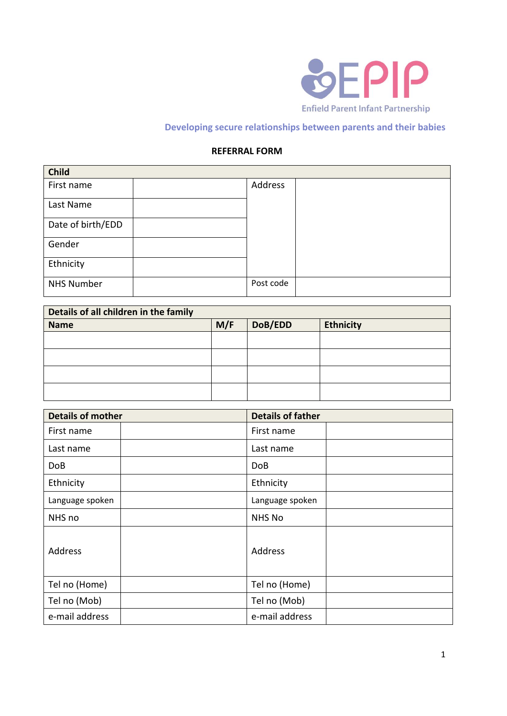

## **Developing secure relationships between parents and their babies**

## **REFERRAL FORM**

| <b>Child</b>      |           |  |
|-------------------|-----------|--|
| First name        | Address   |  |
| Last Name         |           |  |
| Date of birth/EDD |           |  |
| Gender            |           |  |
| Ethnicity         |           |  |
| <b>NHS Number</b> | Post code |  |

| Details of all children in the family |     |         |                  |
|---------------------------------------|-----|---------|------------------|
| <b>Name</b>                           | M/F | DoB/EDD | <b>Ethnicity</b> |
|                                       |     |         |                  |
|                                       |     |         |                  |
|                                       |     |         |                  |
|                                       |     |         |                  |

| <b>Details of mother</b> | <b>Details of father</b> |
|--------------------------|--------------------------|
| First name               | First name               |
| Last name                | Last name                |
| <b>DoB</b>               | Do <sub>B</sub>          |
| Ethnicity                | Ethnicity                |
| Language spoken          | Language spoken          |
| NHS no                   | <b>NHS No</b>            |
| Address                  | Address                  |
| Tel no (Home)            | Tel no (Home)            |
| Tel no (Mob)             | Tel no (Mob)             |
| e-mail address           | e-mail address           |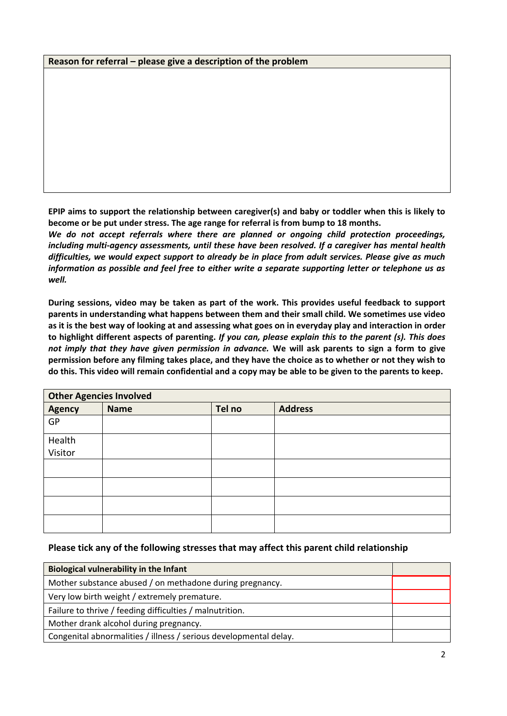## **Reason for referral – please give a description of the problem**

**EPIP aims to support the relationship between caregiver(s) and baby or toddler when this is likely to become or be put under stress. The age range for referral is from bump to 18 months.** 

*We do not accept referrals where there are planned or ongoing child protection proceedings, including multi-agency assessments, until these have been resolved. If a caregiver has mental health difficulties, we would expect support to already be in place from adult services. Please give as much information as possible and feel free to either write a separate supporting letter or telephone us as well.* 

**During sessions, video may be taken as part of the work. This provides useful feedback to support parents in understanding what happens between them and their small child. We sometimes use video as it is the best way of looking at and assessing what goes on in everyday play and interaction in order to highlight different aspects of parenting.** *If you can, please explain this to the parent (s). This does not imply that they have given permission in advance.* **We will ask parents to sign a form to give permission before any filming takes place, and they have the choice as to whether or not they wish to do this. This video will remain confidential and a copy may be able to be given to the parents to keep.**

| <b>Other Agencies Involved</b> |             |        |                |
|--------------------------------|-------------|--------|----------------|
| <b>Agency</b>                  | <b>Name</b> | Tel no | <b>Address</b> |
| GP                             |             |        |                |
| Health                         |             |        |                |
| Visitor                        |             |        |                |
|                                |             |        |                |
|                                |             |        |                |
|                                |             |        |                |
|                                |             |        |                |

## **Please tick any of the following stresses that may affect this parent child relationship**

| <b>Biological vulnerability in the Infant</b>                     |  |  |
|-------------------------------------------------------------------|--|--|
| Mother substance abused / on methadone during pregnancy.          |  |  |
| Very low birth weight / extremely premature.                      |  |  |
| Failure to thrive / feeding difficulties / malnutrition.          |  |  |
| Mother drank alcohol during pregnancy.                            |  |  |
| Congenital abnormalities / illness / serious developmental delay. |  |  |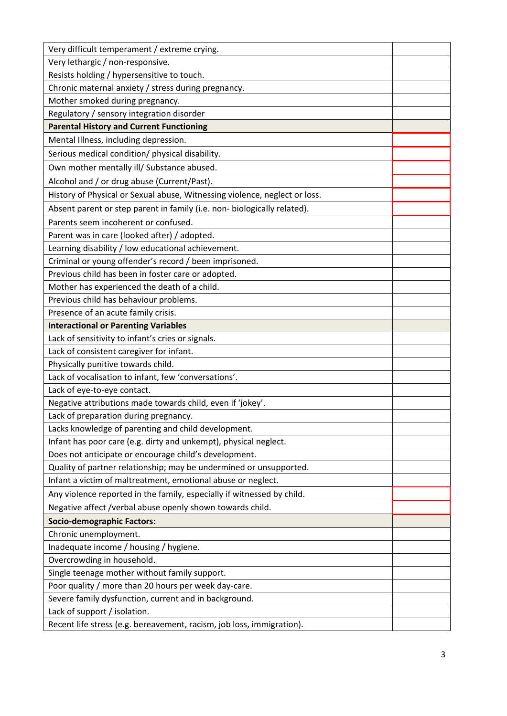| Very difficult temperament / extreme crying.                               |  |
|----------------------------------------------------------------------------|--|
| Very lethargic / non-responsive.                                           |  |
| Resists holding / hypersensitive to touch.                                 |  |
| Chronic maternal anxiety / stress during pregnancy.                        |  |
| Mother smoked during pregnancy.                                            |  |
| Regulatory / sensory integration disorder                                  |  |
| <b>Parental History and Current Functioning</b>                            |  |
| Mental Illness, including depression.                                      |  |
| Serious medical condition/ physical disability.                            |  |
| Own mother mentally ill/ Substance abused.                                 |  |
| Alcohol and / or drug abuse (Current/Past).                                |  |
| History of Physical or Sexual abuse, Witnessing violence, neglect or loss. |  |
| Absent parent or step parent in family (i.e. non- biologically related).   |  |
| Parents seem incoherent or confused.                                       |  |
| Parent was in care (looked after) / adopted.                               |  |
| Learning disability / low educational achievement.                         |  |
| Criminal or young offender's record / been imprisoned.                     |  |
| Previous child has been in foster care or adopted.                         |  |
| Mother has experienced the death of a child.                               |  |
| Previous child has behaviour problems.                                     |  |
| Presence of an acute family crisis.                                        |  |
| <b>Interactional or Parenting Variables</b>                                |  |
| Lack of sensitivity to infant's cries or signals.                          |  |
| Lack of consistent caregiver for infant.                                   |  |
| Physically punitive towards child.                                         |  |
| Lack of vocalisation to infant, few 'conversations'.                       |  |
| Lack of eye-to-eye contact.                                                |  |
| Negative attributions made towards child, even if 'jokey'.                 |  |
| Lack of preparation during pregnancy.                                      |  |
| Lacks knowledge of parenting and child development.                        |  |
| Infant has poor care (e.g. dirty and unkempt), physical neglect.           |  |
| Does not anticipate or encourage child's development.                      |  |
| Quality of partner relationship; may be undermined or unsupported.         |  |
| Infant a victim of maltreatment, emotional abuse or neglect.               |  |
| Any violence reported in the family, especially if witnessed by child.     |  |
| Negative affect /verbal abuse openly shown towards child.                  |  |
| <b>Socio-demographic Factors:</b>                                          |  |
| Chronic unemployment.                                                      |  |
| Inadequate income / housing / hygiene.                                     |  |
| Overcrowding in household.                                                 |  |
| Single teenage mother without family support.                              |  |
| Poor quality / more than 20 hours per week day-care.                       |  |
| Severe family dysfunction, current and in background.                      |  |
| Lack of support / isolation.                                               |  |
| Recent life stress (e.g. bereavement, racism, job loss, immigration).      |  |